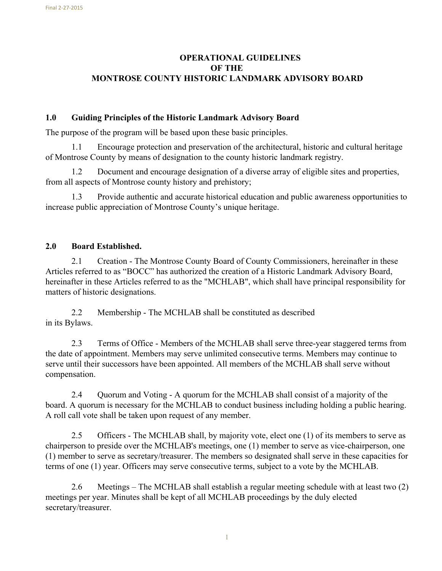# **OPERATIONAL GUIDELINES OF THE MONTROSE COUNTY HISTORIC LANDMARK ADVISORY BOARD**

## **1.0 Guiding Principles of the Historic Landmark Advisory Board**

The purpose of the program will be based upon these basic principles.

1.1 Encourage protection and preservation of the architectural, historic and cultural heritage of Montrose County by means of designation to the county historic landmark registry.

1.2 Document and encourage designation of a diverse array of eligible sites and properties, from all aspects of Montrose county history and prehistory;

1.3 Provide authentic and accurate historical education and public awareness opportunities to increase public appreciation of Montrose County's unique heritage.

# **2.0 Board Established.**

2.1 Creation - The Montrose County Board of County Commissioners, hereinafter in these Articles referred to as "BOCC" has authorized the creation of a Historic Landmark Advisory Board, hereinafter in these Articles referred to as the "MCHLAB", which shall have principal responsibility for matters of historic designations.

2.2 Membership - The MCHLAB shall be constituted as described in its Bylaws.

2.3 Terms of Office - Members of the MCHLAB shall serve three-year staggered terms from the date of appointment. Members may serve unlimited consecutive terms. Members may continue to serve until their successors have been appointed. All members of the MCHLAB shall serve without compensation.

2.4 Ouorum and Voting - A quorum for the MCHLAB shall consist of a majority of the board. A quorum is necessary for the MCHLAB to conduct business including holding a public hearing. A roll call vote shall be taken upon request of any member.

2.5 Officers - The MCHLAB shall, by majority vote, elect one (1) of its members to serve as chairperson to preside over the MCHLAB's meetings, one (1) member to serve as vice-chairperson, one (1) member to serve as secretary/treasurer. The members so designated shall serve in these capacities for terms of one (1) year. Officers may serve consecutive terms, subject to a vote by the MCHLAB.

2.6 Meetings – The MCHLAB shall establish a regular meeting schedule with at least two (2) meetings per year. Minutes shall be kept of all MCHLAB proceedings by the duly elected secretary/treasurer.

1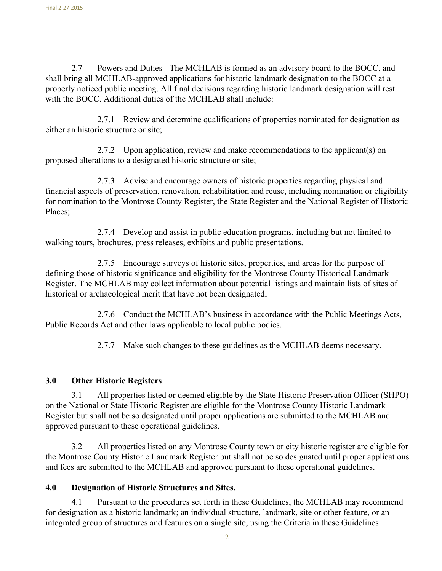2.7 Powers and Duties - The MCHLAB is formed as an advisory board to the BOCC, and shall bring all MCHLAB-approved applications for historic landmark designation to the BOCC at a properly noticed public meeting. All final decisions regarding historic landmark designation will rest with the BOCC. Additional duties of the MCHLAB shall include:

2.7.1 Review and determine qualifications of properties nominated for designation as either an historic structure or site;

2.7.2 Upon application, review and make recommendations to the applicant(s) on proposed alterations to a designated historic structure or site;

2.7.3 Advise and encourage owners of historic properties regarding physical and financial aspects of preservation, renovation, rehabilitation and reuse, including nomination or eligibility for nomination to the Montrose County Register, the State Register and the National Register of Historic Places;

2.7.4 Develop and assist in public education programs, including but not limited to walking tours, brochures, press releases, exhibits and public presentations.

2.7.5 Encourage surveys of historic sites, properties, and areas for the purpose of defining those of historic significance and eligibility for the Montrose County Historical Landmark Register. The MCHLAB may collect information about potential listings and maintain lists of sites of historical or archaeological merit that have not been designated;

2.7.6 Conduct the MCHLAB's business in accordance with the Public Meetings Acts, Public Records Act and other laws applicable to local public bodies.

2.7.7 Make such changes to these guidelines as the MCHLAB deems necessary.

## **3.0 Other Historic Registers**.

3.1 All properties listed or deemed eligible by the State Historic Preservation Officer (SHPO) on the National or State Historic Register are eligible for the Montrose County Historic Landmark Register but shall not be so designated until proper applications are submitted to the MCHLAB and approved pursuant to these operational guidelines.

3.2 All properties listed on any Montrose County town or city historic register are eligible for the Montrose County Historic Landmark Register but shall not be so designated until proper applications and fees are submitted to the MCHLAB and approved pursuant to these operational guidelines.

## **4.0 Designation of Historic Structures and Sites.**

4.1 Pursuant to the procedures set forth in these Guidelines, the MCHLAB may recommend for designation as a historic landmark; an individual structure, landmark, site or other feature, or an integrated group of structures and features on a single site, using the Criteria in these Guidelines.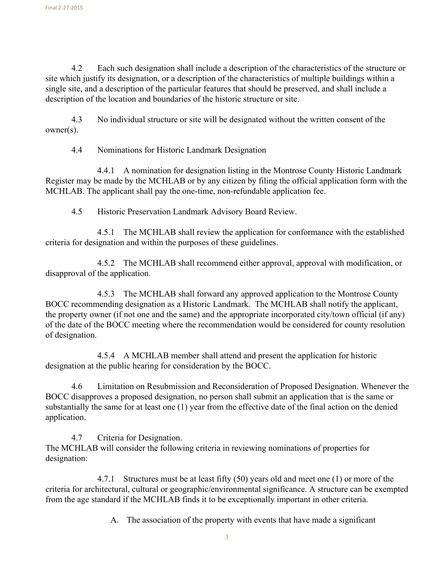4.2 Each such designation shall include a description of the characteristics of the structure or site which justify its designation, or a description of the characteristics of multiple buildings within a single site, and a description of the particular features that should be preserved, and shall include a description of the location and boundaries of the historic structure or site.

4.3 No individual structure or site will be designated without the written consent of the owner(s).

4.4 Nominations for Historic Landmark Designation

4.4.1 A nomination for designation listing in the Montrose County Historic Landmark Register may be made by the MCHLAB or by any citizen by filing the official application form with the MCHLAB. The applicant shall pay the one-time, non-refundable application fee.

4.5 Historic Preservation Landmark Advisory Board Review.

4.5.1 The MCHLAB shall review the application for conformance with the established criteria for designation and within the purposes of these guidelines.

4.5.2 The MCHLAB shall recommend either approval, approval with modification, or disapproval of the application.

4.5.3 The MCHLAB shall forward any approved application to the Montrose County BOCC recommending designation as a Historic Landmark. The MCHLAB shall notify the applicant, the property owner (if not one and the same) and the appropriate incorporated city/town official (if any) of the date of the BOCC meeting where the recommendation would be considered for county resolution of designation.

4.5.4 A MCHLAB member shall attend and present the application for historic designation at the public hearing for consideration by the BOCC.

4.6 Limitation on Resubmission and Reconsideration of Proposed Designation. Whenever the BOCC disapproves a proposed designation, no person shall submit an application that is the same or substantially the same for at least one (1) year from the effective date of the final action on the denied application.

4.7 Criteria for Designation. The MCHLAB will consider the following criteria in reviewing nominations of properties for designation:

4.7.1 Structures must be at least fifty (50) years old and meet one (1) or more of the criteria for architectural, cultural or geographic/environmental significance. A structure can be exempted from the age standard if the MCHLAB finds it to be exceptionally important in other criteria.

A. The association of the property with events that have made a significant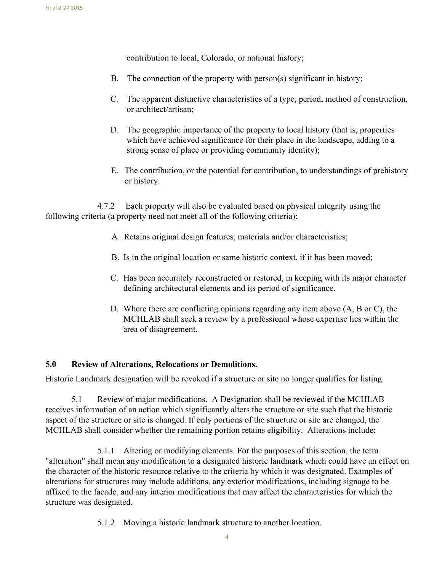contribution to local, Colorado, or national history;

- B. The connection of the property with person(s) significant in history;
- C. The apparent distinctive characteristics of a type, period, method of construction, or architect/artisan;
- D. The geographic importance of the property to local history (that is, properties which have achieved significance for their place in the landscape, adding to a strong sense of place or providing community identity);
- E. The contribution, or the potential for contribution, to understandings of prehistory or history.

4.7.2 Each property will also be evaluated based on physical integrity using the following criteria (a property need not meet all of the following criteria):

- A. Retains original design features, materials and/or characteristics;
- B. Is in the original location or same historic context, if it has been moved;
- C. Has been accurately reconstructed or restored, in keeping with its major character defining architectural elements and its period of significance.
- D. Where there are conflicting opinions regarding any item above (A, B or C), the MCHLAB shall seek a review by a professional whose expertise lies within the area of disagreement.

## **5.0 Review of Alterations, Relocations or Demolitions.**

Historic Landmark designation will be revoked if a structure or site no longer qualifies for listing.

5.1 Review of major modifications. A Designation shall be reviewed if the MCHLAB receives information of an action which significantly alters the structure or site such that the historic aspect of the structure or site is changed. If only portions of the structure or site are changed, the MCHLAB shall consider whether the remaining portion retains eligibility. Alterations include:

5.1.1 Altering or modifying elements. For the purposes of this section, the term "alteration" shall mean any modification to a designated historic landmark which could have an effect on the character of the historic resource relative to the criteria by which it was designated. Examples of alterations for structures may include additions, any exterior modifications, including signage to be affixed to the facade, and any interior modifications that may affect the characteristics for which the structure was designated.

5.1.2 Moving a historic landmark structure to another location.